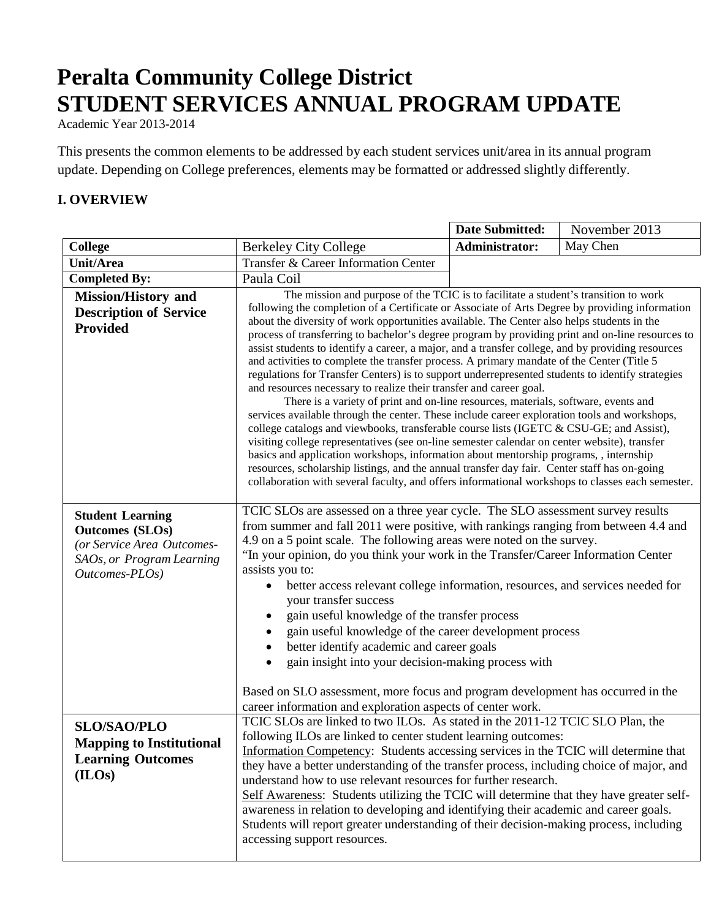# **Peralta Community College District STUDENT SERVICES ANNUAL PROGRAM UPDATE**

Academic Year 2013-2014

This presents the common elements to be addressed by each student services unit/area in its annual program update. Depending on College preferences, elements may be formatted or addressed slightly differently.

## **I. OVERVIEW**

|                                                                                                                                |                                                                                                                                                                                                                                                                                                                                                                                                                                                                                                                                                                                                                                                                                                                                                                                                                                                                                                                                                                                                                                                                                                                                                                                                                                                                                                                                                                                                                                                   | Date Submitted: | November 2013 |
|--------------------------------------------------------------------------------------------------------------------------------|---------------------------------------------------------------------------------------------------------------------------------------------------------------------------------------------------------------------------------------------------------------------------------------------------------------------------------------------------------------------------------------------------------------------------------------------------------------------------------------------------------------------------------------------------------------------------------------------------------------------------------------------------------------------------------------------------------------------------------------------------------------------------------------------------------------------------------------------------------------------------------------------------------------------------------------------------------------------------------------------------------------------------------------------------------------------------------------------------------------------------------------------------------------------------------------------------------------------------------------------------------------------------------------------------------------------------------------------------------------------------------------------------------------------------------------------------|-----------------|---------------|
| <b>College</b>                                                                                                                 | <b>Berkeley City College</b>                                                                                                                                                                                                                                                                                                                                                                                                                                                                                                                                                                                                                                                                                                                                                                                                                                                                                                                                                                                                                                                                                                                                                                                                                                                                                                                                                                                                                      | Administrator:  | May Chen      |
| <b>Unit/Area</b>                                                                                                               | Transfer & Career Information Center                                                                                                                                                                                                                                                                                                                                                                                                                                                                                                                                                                                                                                                                                                                                                                                                                                                                                                                                                                                                                                                                                                                                                                                                                                                                                                                                                                                                              |                 |               |
| <b>Completed By:</b>                                                                                                           | Paula Coil                                                                                                                                                                                                                                                                                                                                                                                                                                                                                                                                                                                                                                                                                                                                                                                                                                                                                                                                                                                                                                                                                                                                                                                                                                                                                                                                                                                                                                        |                 |               |
| <b>Mission/History and</b><br><b>Description of Service</b><br><b>Provided</b>                                                 | The mission and purpose of the TCIC is to facilitate a student's transition to work<br>following the completion of a Certificate or Associate of Arts Degree by providing information<br>about the diversity of work opportunities available. The Center also helps students in the<br>process of transferring to bachelor's degree program by providing print and on-line resources to<br>assist students to identify a career, a major, and a transfer college, and by providing resources<br>and activities to complete the transfer process. A primary mandate of the Center (Title 5<br>regulations for Transfer Centers) is to support underrepresented students to identify strategies<br>and resources necessary to realize their transfer and career goal.<br>There is a variety of print and on-line resources, materials, software, events and<br>services available through the center. These include career exploration tools and workshops,<br>college catalogs and viewbooks, transferable course lists (IGETC & CSU-GE; and Assist),<br>visiting college representatives (see on-line semester calendar on center website), transfer<br>basics and application workshops, information about mentorship programs, , internship<br>resources, scholarship listings, and the annual transfer day fair. Center staff has on-going<br>collaboration with several faculty, and offers informational workshops to classes each semester. |                 |               |
| <b>Student Learning</b><br><b>Outcomes (SLOs)</b><br>(or Service Area Outcomes-<br>SAOs, or Program Learning<br>Outcomes-PLOs) | TCIC SLOs are assessed on a three year cycle. The SLO assessment survey results<br>from summer and fall 2011 were positive, with rankings ranging from between 4.4 and<br>4.9 on a 5 point scale. The following areas were noted on the survey.<br>"In your opinion, do you think your work in the Transfer/Career Information Center<br>assists you to:<br>better access relevant college information, resources, and services needed for<br>your transfer success<br>gain useful knowledge of the transfer process<br>gain useful knowledge of the career development process<br>better identify academic and career goals<br>gain insight into your decision-making process with<br>Based on SLO assessment, more focus and program development has occurred in the<br>career information and exploration aspects of center work.                                                                                                                                                                                                                                                                                                                                                                                                                                                                                                                                                                                                              |                 |               |
| <b>SLO/SAO/PLO</b><br><b>Mapping to Institutional</b><br><b>Learning Outcomes</b><br>(ILOs)                                    | TCIC SLOs are linked to two ILOs. As stated in the 2011-12 TCIC SLO Plan, the<br>following ILOs are linked to center student learning outcomes:<br>Information Competency: Students accessing services in the TCIC will determine that<br>they have a better understanding of the transfer process, including choice of major, and<br>understand how to use relevant resources for further research.<br>Self Awareness: Students utilizing the TCIC will determine that they have greater self-<br>awareness in relation to developing and identifying their academic and career goals.<br>Students will report greater understanding of their decision-making process, including<br>accessing support resources.                                                                                                                                                                                                                                                                                                                                                                                                                                                                                                                                                                                                                                                                                                                                 |                 |               |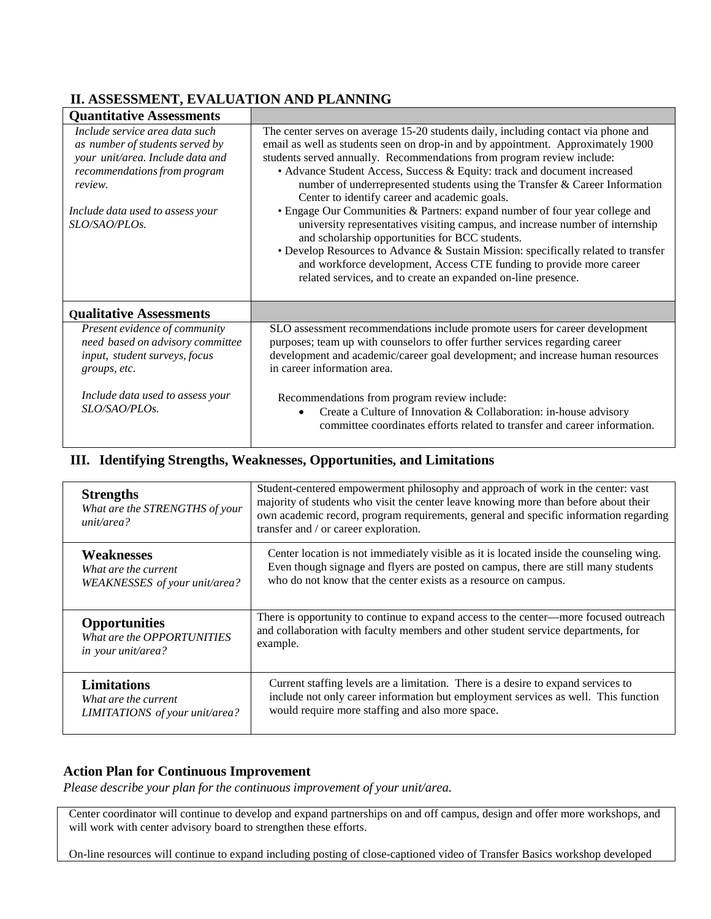# **II. ASSESSMENT, EVALUATION AND PLANNING**

| <b>Quantitative Assessments</b>                                                                                                                                                                       |                                                                                                                                                                                                                                                                                                                                                                                                                                                                                                                                                                                                                                                                                                                                                                                                                                                                                                                |
|-------------------------------------------------------------------------------------------------------------------------------------------------------------------------------------------------------|----------------------------------------------------------------------------------------------------------------------------------------------------------------------------------------------------------------------------------------------------------------------------------------------------------------------------------------------------------------------------------------------------------------------------------------------------------------------------------------------------------------------------------------------------------------------------------------------------------------------------------------------------------------------------------------------------------------------------------------------------------------------------------------------------------------------------------------------------------------------------------------------------------------|
| Include service area data such<br>as number of students served by<br>your unit/area. Include data and<br>recommendations from program<br>review.<br>Include data used to assess your<br>SLO/SAO/PLOs. | The center serves on average 15-20 students daily, including contact via phone and<br>email as well as students seen on drop-in and by appointment. Approximately 1900<br>students served annually. Recommendations from program review include:<br>• Advance Student Access, Success & Equity: track and document increased<br>number of underrepresented students using the Transfer & Career Information<br>Center to identify career and academic goals.<br>• Engage Our Communities & Partners: expand number of four year college and<br>university representatives visiting campus, and increase number of internship<br>and scholarship opportunities for BCC students.<br>• Develop Resources to Advance & Sustain Mission: specifically related to transfer<br>and workforce development, Access CTE funding to provide more career<br>related services, and to create an expanded on-line presence. |
| <b>Qualitative Assessments</b>                                                                                                                                                                        |                                                                                                                                                                                                                                                                                                                                                                                                                                                                                                                                                                                                                                                                                                                                                                                                                                                                                                                |
| Present evidence of community<br>need based on advisory committee<br>input, student surveys, focus<br>groups, etc.                                                                                    | SLO assessment recommendations include promote users for career development<br>purposes; team up with counselors to offer further services regarding career<br>development and academic/career goal development; and increase human resources<br>in career information area.                                                                                                                                                                                                                                                                                                                                                                                                                                                                                                                                                                                                                                   |
| Include data used to assess your<br>SLO/SAO/PLOs.                                                                                                                                                     | Recommendations from program review include:<br>Create a Culture of Innovation & Collaboration: in-house advisory<br>$\bullet$<br>committee coordinates efforts related to transfer and career information.                                                                                                                                                                                                                                                                                                                                                                                                                                                                                                                                                                                                                                                                                                    |

### **III. Identifying Strengths, Weaknesses, Opportunities, and Limitations**

| <b>Strengths</b><br>What are the STRENGTHS of your<br>unit/area? | Student-centered empowerment philosophy and approach of work in the center: vast<br>majority of students who visit the center leave knowing more than before about their<br>own academic record, program requirements, general and specific information regarding<br>transfer and / or career exploration. |
|------------------------------------------------------------------|------------------------------------------------------------------------------------------------------------------------------------------------------------------------------------------------------------------------------------------------------------------------------------------------------------|
| <b>Weaknesses</b>                                                | Center location is not immediately visible as it is located inside the counseling wing.                                                                                                                                                                                                                    |
| What are the current                                             | Even though signage and flyers are posted on campus, there are still many students                                                                                                                                                                                                                         |
| WEAKNESSES of your unit/area?                                    | who do not know that the center exists as a resource on campus.                                                                                                                                                                                                                                            |
| <b>Opportunities</b>                                             | There is opportunity to continue to expand access to the center—more focused outreach                                                                                                                                                                                                                      |
| What are the OPPORTUNITIES                                       | and collaboration with faculty members and other student service departments, for                                                                                                                                                                                                                          |
| <i>in your unit/area?</i>                                        | example.                                                                                                                                                                                                                                                                                                   |
| <b>Limitations</b>                                               | Current staffing levels are a limitation. There is a desire to expand services to                                                                                                                                                                                                                          |
| What are the current                                             | include not only career information but employment services as well. This function                                                                                                                                                                                                                         |
| LIMITATIONS of your unit/area?                                   | would require more staffing and also more space.                                                                                                                                                                                                                                                           |

## **Action Plan for Continuous Improvement**

*Please describe your plan for the continuous improvement of your unit/area.*

Center coordinator will continue to develop and expand partnerships on and off campus, design and offer more workshops, and will work with center advisory board to strengthen these efforts.

On-line resources will continue to expand including posting of close-captioned video of Transfer Basics workshop developed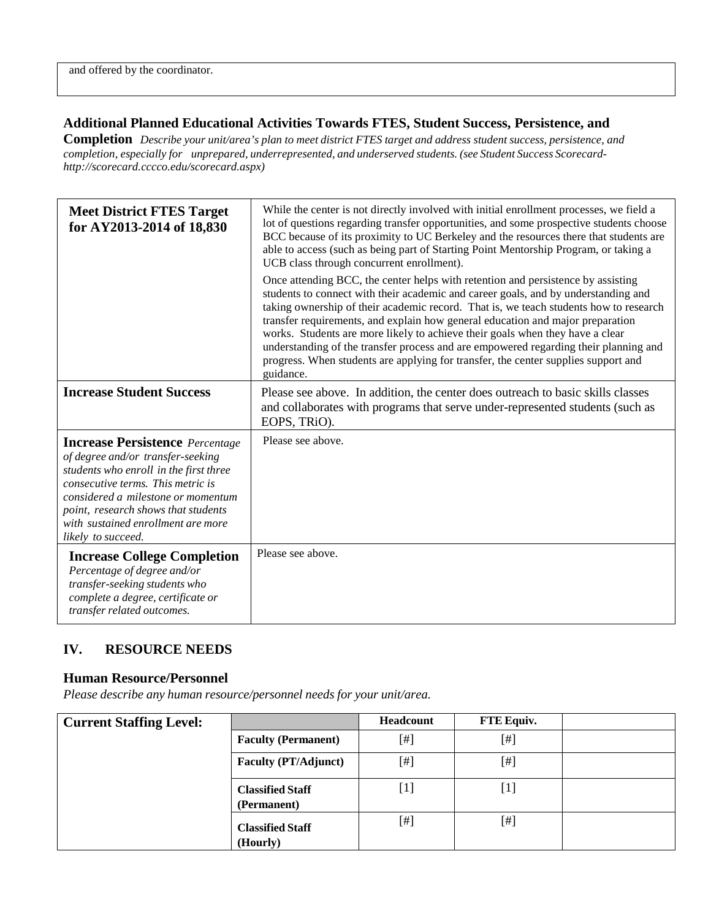#### **Additional Planned Educational Activities Towards FTES, Student Success, Persistence, and**

Completion Describe your unit/area's plan to meet district FTES target and address student success, persistence, and *completion, especially for unprepared, underrepresented, and underserved students. (see Student Success Scorecard[http://scorecard.cccco.edu/scorecard.aspx\)](http://scorecard.cccco.edu/scorecard.aspx))*

| <b>Meet District FTES Target</b><br>for AY2013-2014 of 18,830                                                                                                                                                                                                                                       | While the center is not directly involved with initial enrollment processes, we field a<br>lot of questions regarding transfer opportunities, and some prospective students choose<br>BCC because of its proximity to UC Berkeley and the resources there that students are<br>able to access (such as being part of Starting Point Mentorship Program, or taking a<br>UCB class through concurrent enrollment).                                                                                                                                                                                                              |
|-----------------------------------------------------------------------------------------------------------------------------------------------------------------------------------------------------------------------------------------------------------------------------------------------------|-------------------------------------------------------------------------------------------------------------------------------------------------------------------------------------------------------------------------------------------------------------------------------------------------------------------------------------------------------------------------------------------------------------------------------------------------------------------------------------------------------------------------------------------------------------------------------------------------------------------------------|
|                                                                                                                                                                                                                                                                                                     | Once attending BCC, the center helps with retention and persistence by assisting<br>students to connect with their academic and career goals, and by understanding and<br>taking ownership of their academic record. That is, we teach students how to research<br>transfer requirements, and explain how general education and major preparation<br>works. Students are more likely to achieve their goals when they have a clear<br>understanding of the transfer process and are empowered regarding their planning and<br>progress. When students are applying for transfer, the center supplies support and<br>guidance. |
| <b>Increase Student Success</b>                                                                                                                                                                                                                                                                     | Please see above. In addition, the center does outreach to basic skills classes<br>and collaborates with programs that serve under-represented students (such as<br>EOPS, TRIO).                                                                                                                                                                                                                                                                                                                                                                                                                                              |
| <b>Increase Persistence</b> Percentage<br>of degree and/or transfer-seeking<br>students who enroll in the first three<br>consecutive terms. This metric is<br>considered a milestone or momentum<br>point, research shows that students<br>with sustained enrollment are more<br>likely to succeed. | Please see above.                                                                                                                                                                                                                                                                                                                                                                                                                                                                                                                                                                                                             |
| <b>Increase College Completion</b><br>Percentage of degree and/or<br>transfer-seeking students who<br>complete a degree, certificate or<br>transfer related outcomes.                                                                                                                               | Please see above.                                                                                                                                                                                                                                                                                                                                                                                                                                                                                                                                                                                                             |

## **IV. RESOURCE NEEDS**

#### **Human Resource/Personnel**

*Please describe any human resource/personnel needs for your unit/area.*

| <b>Current Staffing Level:</b> |                                        | <b>Headcount</b> | FTE Equiv. |  |
|--------------------------------|----------------------------------------|------------------|------------|--|
|                                | <b>Faculty (Permanent)</b>             | [#]              | $[$        |  |
|                                | <b>Faculty (PT/Adjunct)</b>            | [#]              | $[$        |  |
|                                | <b>Classified Staff</b><br>(Permanent) | [1]              | $[1]$      |  |
|                                | <b>Classified Staff</b><br>(Hourly)    | [#]              | $[$        |  |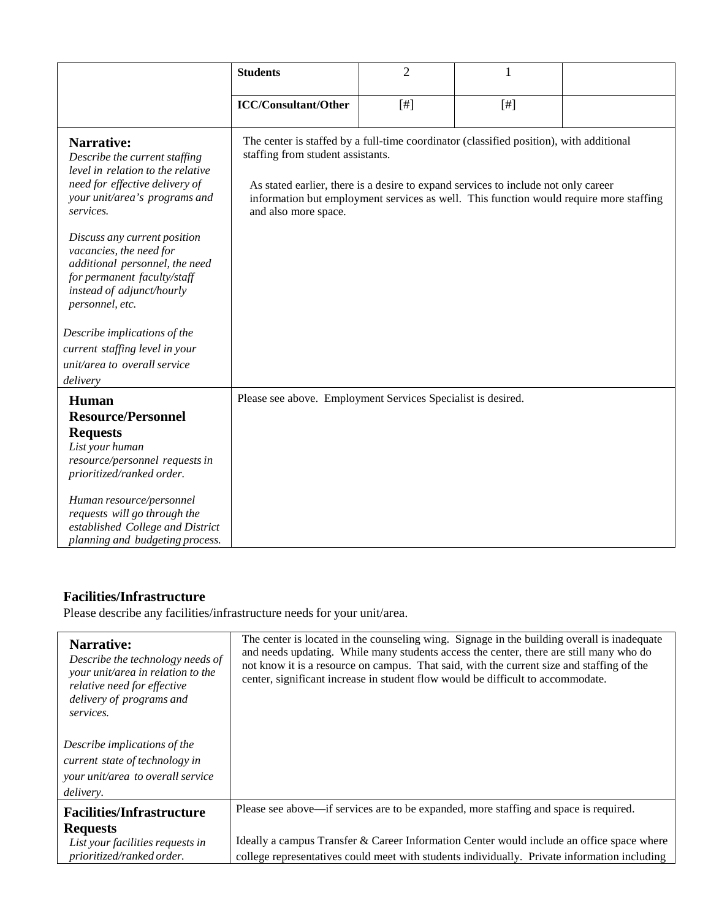|                                                                                                                                                                                                                                                                                                                                                                                                                                                                   | <b>Students</b>                                                                                                                                                                                                                                                                                                                      | $\overline{2}$ | $\mathbf{1}$ |  |
|-------------------------------------------------------------------------------------------------------------------------------------------------------------------------------------------------------------------------------------------------------------------------------------------------------------------------------------------------------------------------------------------------------------------------------------------------------------------|--------------------------------------------------------------------------------------------------------------------------------------------------------------------------------------------------------------------------------------------------------------------------------------------------------------------------------------|----------------|--------------|--|
|                                                                                                                                                                                                                                                                                                                                                                                                                                                                   | <b>ICC/Consultant/Other</b>                                                                                                                                                                                                                                                                                                          | $[$ #]         | $[$          |  |
| <b>Narrative:</b><br>Describe the current staffing<br>level in relation to the relative<br>need for effective delivery of<br>your unit/area's programs and<br>services.<br>Discuss any current position<br>vacancies, the need for<br>additional personnel, the need<br>for permanent faculty/staff<br>instead of adjunct/hourly<br>personnel, etc.<br>Describe implications of the<br>current staffing level in your<br>unit/area to overall service<br>delivery | The center is staffed by a full-time coordinator (classified position), with additional<br>staffing from student assistants.<br>As stated earlier, there is a desire to expand services to include not only career<br>information but employment services as well. This function would require more staffing<br>and also more space. |                |              |  |
| Human<br><b>Resource/Personnel</b><br><b>Requests</b><br>List your human<br>resource/personnel requests in<br>prioritized/ranked order.<br>Human resource/personnel<br>requests will go through the<br>established College and District<br>planning and budgeting process.                                                                                                                                                                                        | Please see above. Employment Services Specialist is desired.                                                                                                                                                                                                                                                                         |                |              |  |

# **Facilities/Infrastructure**

Please describe any facilities/infrastructure needs for your unit/area.

| Narrative:<br>Describe the technology needs of<br>your unit/area in relation to the<br>relative need for effective<br>delivery of programs and<br>services. | The center is located in the counseling wing. Signage in the building overall is inadequate<br>and needs updating. While many students access the center, there are still many who do<br>not know it is a resource on campus. That said, with the current size and staffing of the<br>center, significant increase in student flow would be difficult to accommodate. |
|-------------------------------------------------------------------------------------------------------------------------------------------------------------|-----------------------------------------------------------------------------------------------------------------------------------------------------------------------------------------------------------------------------------------------------------------------------------------------------------------------------------------------------------------------|
| Describe implications of the<br>current state of technology in                                                                                              |                                                                                                                                                                                                                                                                                                                                                                       |
| your unit/area to overall service<br>delivery.                                                                                                              |                                                                                                                                                                                                                                                                                                                                                                       |
| <b>Facilities/Infrastructure</b>                                                                                                                            | Please see above—if services are to be expanded, more staffing and space is required.                                                                                                                                                                                                                                                                                 |
| <b>Requests</b><br>List your facilities requests in<br>prioritized/ranked order.                                                                            | Ideally a campus Transfer & Career Information Center would include an office space where<br>college representatives could meet with students individually. Private information including                                                                                                                                                                             |